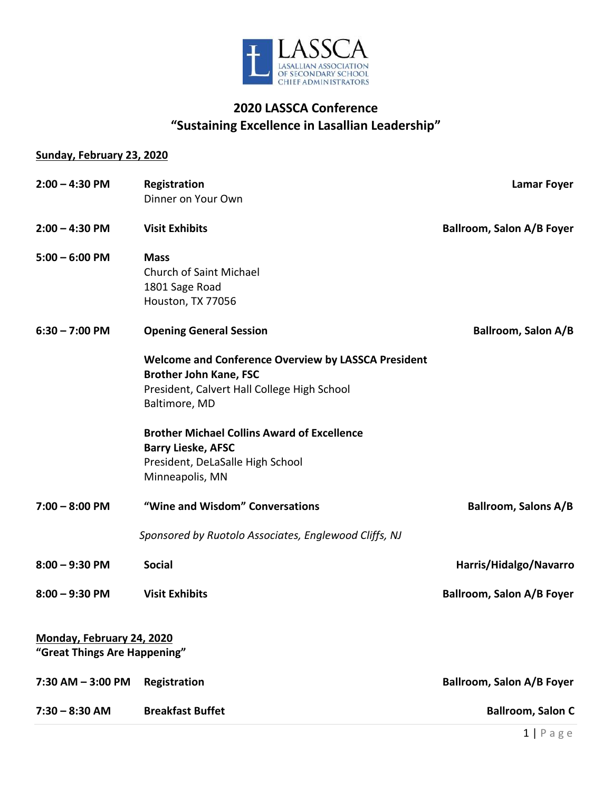

# **2020 LASSCA Conference "Sustaining Excellence in Lasallian Leadership"**

## **Sunday, February 23, 2020**

| $2:00 - 4:30$ PM             | Registration<br>Dinner on Your Own                         | <b>Lamar Foyer</b>               |
|------------------------------|------------------------------------------------------------|----------------------------------|
|                              |                                                            |                                  |
| $2:00 - 4:30$ PM             | <b>Visit Exhibits</b>                                      | <b>Ballroom, Salon A/B Foyer</b> |
| $5:00 - 6:00$ PM             | <b>Mass</b>                                                |                                  |
|                              | Church of Saint Michael                                    |                                  |
|                              | 1801 Sage Road                                             |                                  |
|                              | Houston, TX 77056                                          |                                  |
| $6:30 - 7:00$ PM             | <b>Opening General Session</b>                             | Ballroom, Salon A/B              |
|                              | <b>Welcome and Conference Overview by LASSCA President</b> |                                  |
|                              | <b>Brother John Kane, FSC</b>                              |                                  |
|                              | President, Calvert Hall College High School                |                                  |
|                              | Baltimore, MD                                              |                                  |
|                              | <b>Brother Michael Collins Award of Excellence</b>         |                                  |
|                              | <b>Barry Lieske, AFSC</b>                                  |                                  |
|                              | President, DeLaSalle High School                           |                                  |
|                              | Minneapolis, MN                                            |                                  |
| $7:00 - 8:00$ PM             | "Wine and Wisdom" Conversations                            | <b>Ballroom, Salons A/B</b>      |
|                              | Sponsored by Ruotolo Associates, Englewood Cliffs, NJ      |                                  |
| $8:00 - 9:30$ PM             | <b>Social</b>                                              | Harris/Hidalgo/Navarro           |
| $8:00 - 9:30$ PM             | <b>Visit Exhibits</b>                                      | Ballroom, Salon A/B Foyer        |
| Monday, February 24, 2020    |                                                            |                                  |
| "Great Things Are Happening" |                                                            |                                  |
| $7:30$ AM $-$ 3:00 PM        | Registration                                               | Ballroom, Salon A/B Foyer        |
| $7:30 - 8:30$ AM             | <b>Breakfast Buffet</b>                                    | <b>Ballroom, Salon C</b>         |
|                              |                                                            |                                  |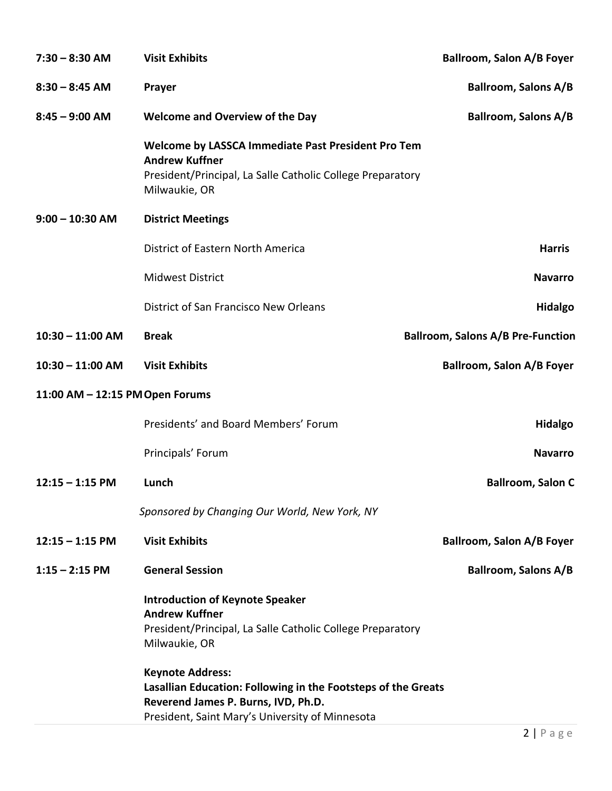| $7:30 - 8:30$ AM                | <b>Visit Exhibits</b>                                                                                                                                                              | <b>Ballroom, Salon A/B Foyer</b>         |
|---------------------------------|------------------------------------------------------------------------------------------------------------------------------------------------------------------------------------|------------------------------------------|
| $8:30 - 8:45$ AM                | Prayer                                                                                                                                                                             | <b>Ballroom, Salons A/B</b>              |
| $8:45 - 9:00$ AM                | <b>Welcome and Overview of the Day</b>                                                                                                                                             | <b>Ballroom, Salons A/B</b>              |
|                                 | Welcome by LASSCA Immediate Past President Pro Tem<br><b>Andrew Kuffner</b><br>President/Principal, La Salle Catholic College Preparatory<br>Milwaukie, OR                         |                                          |
| $9:00 - 10:30$ AM               | <b>District Meetings</b>                                                                                                                                                           |                                          |
|                                 | District of Eastern North America                                                                                                                                                  | <b>Harris</b>                            |
|                                 | <b>Midwest District</b>                                                                                                                                                            | <b>Navarro</b>                           |
|                                 | District of San Francisco New Orleans                                                                                                                                              | <b>Hidalgo</b>                           |
| $10:30 - 11:00$ AM              | <b>Break</b>                                                                                                                                                                       | <b>Ballroom, Salons A/B Pre-Function</b> |
| $10:30 - 11:00$ AM              | <b>Visit Exhibits</b>                                                                                                                                                              | Ballroom, Salon A/B Foyer                |
| 11:00 AM - 12:15 PM Open Forums |                                                                                                                                                                                    |                                          |
|                                 | Presidents' and Board Members' Forum                                                                                                                                               | <b>Hidalgo</b>                           |
|                                 | Principals' Forum                                                                                                                                                                  | <b>Navarro</b>                           |
| $12:15 - 1:15$ PM               | Lunch                                                                                                                                                                              | <b>Ballroom, Salon C</b>                 |
|                                 | Sponsored by Changing Our World, New York, NY                                                                                                                                      |                                          |
| $12:15 - 1:15$ PM               | <b>Visit Exhibits</b>                                                                                                                                                              | Ballroom, Salon A/B Foyer                |
| $1:15 - 2:15$ PM                | <b>General Session</b>                                                                                                                                                             | <b>Ballroom, Salons A/B</b>              |
|                                 | <b>Introduction of Keynote Speaker</b><br><b>Andrew Kuffner</b><br>President/Principal, La Salle Catholic College Preparatory<br>Milwaukie, OR                                     |                                          |
|                                 | <b>Keynote Address:</b><br>Lasallian Education: Following in the Footsteps of the Greats<br>Reverend James P. Burns, IVD, Ph.D.<br>President, Saint Mary's University of Minnesota |                                          |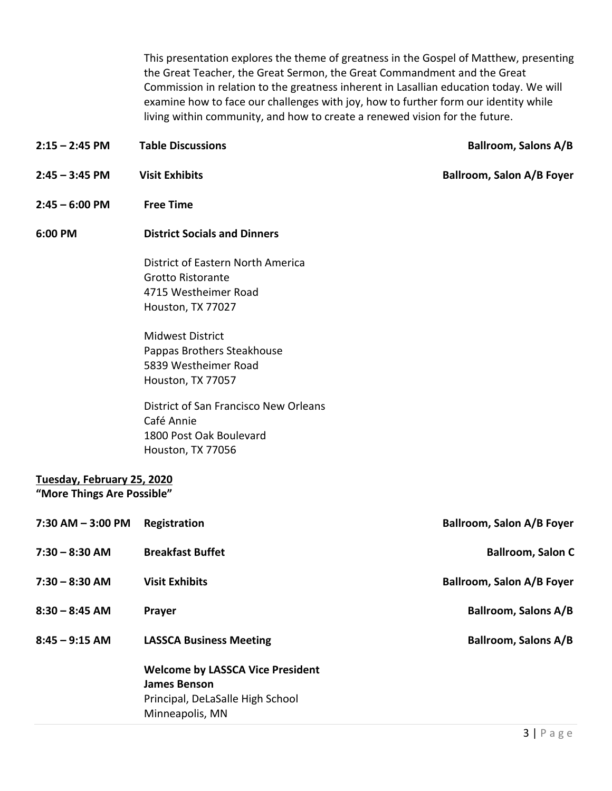This presentation explores the theme of greatness in the Gospel of Matthew, presenting the Great Teacher, the Great Sermon, the Great Commandment and the Great Commission in relation to the greatness inherent in Lasallian education today. We will examine how to face our challenges with joy, how to further form our identity while living within community, and how to create a renewed vision for the future.

**2:15 – 2:45 PM Table Discussions Ballroom, Salons A/B 2:45 – 3:45 PM Visit Exhibits Ballroom, Salon A/B Foyer 2:45 – 6:00 PM Free Time 6:00 PM District Socials and Dinners** District of Eastern North America Grotto Ristorante 4715 Westheimer Road Houston, TX 77027 Midwest District Pappas Brothers Steakhouse 5839 Westheimer Road Houston, TX 77057 District of San Francisco New Orleans Café Annie 1800 Post Oak Boulevard Houston, TX 77056 **Tuesday, February 25, 2020 "More Things Are Possible" 7:30 AM – 3:00 PM Registration Ballroom, Salon A/B Foyer 7:30 – 8:30 AM Breakfast Buffet Ballroom, Salon C 7:30 – 8:30 AM Visit Exhibits Ballroom, Salon A/B Foyer 8:30 – 8:45 AM Prayer Ballroom, Salons A/B 8:45 – 9:15 AM LASSCA Business Meeting Ballroom, Salons A/B Welcome by LASSCA Vice President James Benson** Principal, DeLaSalle High School

Minneapolis, MN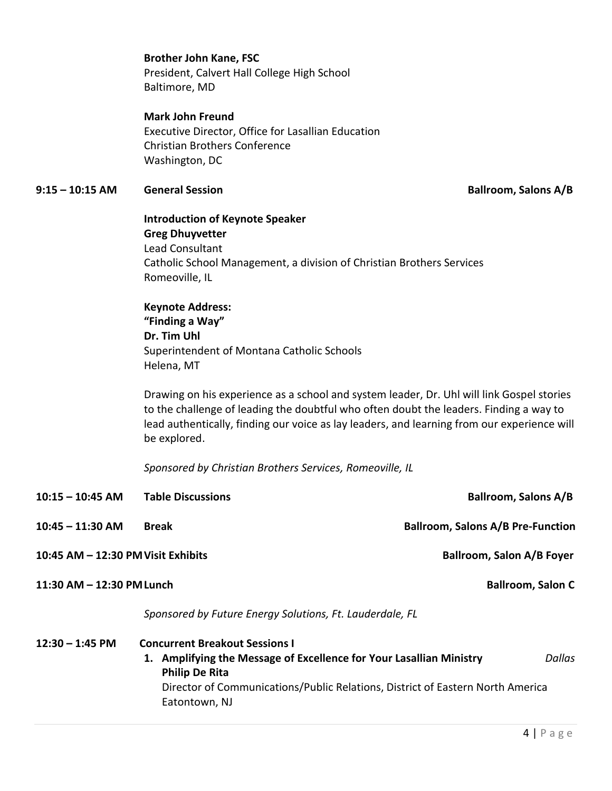#### **Brother John Kane, FSC**

President, Calvert Hall College High School Baltimore, MD

### **Mark John Freund**

Executive Director, Office for Lasallian Education Christian Brothers Conference Washington, DC

## **9:15 – 10:15 AM General Session Ballroom, Salons A/B**

# **Introduction of Keynote Speaker Greg Dhuyvetter** Lead Consultant Catholic School Management, a division of Christian Brothers Services Romeoville, IL

# **Keynote Address: "Finding a Way" Dr. Tim Uhl** Superintendent of Montana Catholic Schools Helena, MT

Drawing on his experience as a school and system leader, Dr. Uhl will link Gospel stories to the challenge of leading the doubtful who often doubt the leaders. Finding a way to lead authentically, finding our voice as lay leaders, and learning from our experience will be explored.

*Sponsored by Christian Brothers Services, Romeoville, IL*

| $10:15 - 10:45$ AM                                    | <b>Table Discussions</b>                                                                                                                               | <b>Ballroom, Salons A/B</b>                                                               |
|-------------------------------------------------------|--------------------------------------------------------------------------------------------------------------------------------------------------------|-------------------------------------------------------------------------------------------|
| $10:45 - 11:30$ AM                                    | <b>Break</b>                                                                                                                                           | <b>Ballroom, Salons A/B Pre-Function</b>                                                  |
| 10:45 AM - 12:30 PM Visit Exhibits                    |                                                                                                                                                        | Ballroom, Salon A/B Foyer                                                                 |
| 11:30 AM - 12:30 PM Lunch<br><b>Ballroom, Salon C</b> |                                                                                                                                                        |                                                                                           |
|                                                       | Sponsored by Future Energy Solutions, Ft. Lauderdale, FL                                                                                               |                                                                                           |
| $12:30 - 1:45$ PM                                     | <b>Concurrent Breakout Sessions I</b><br>1. Amplifying the Message of Excellence for Your Lasallian Ministry<br><b>Philip De Rita</b><br>Eatontown, NJ | Dallas.<br>Director of Communications/Public Relations, District of Eastern North America |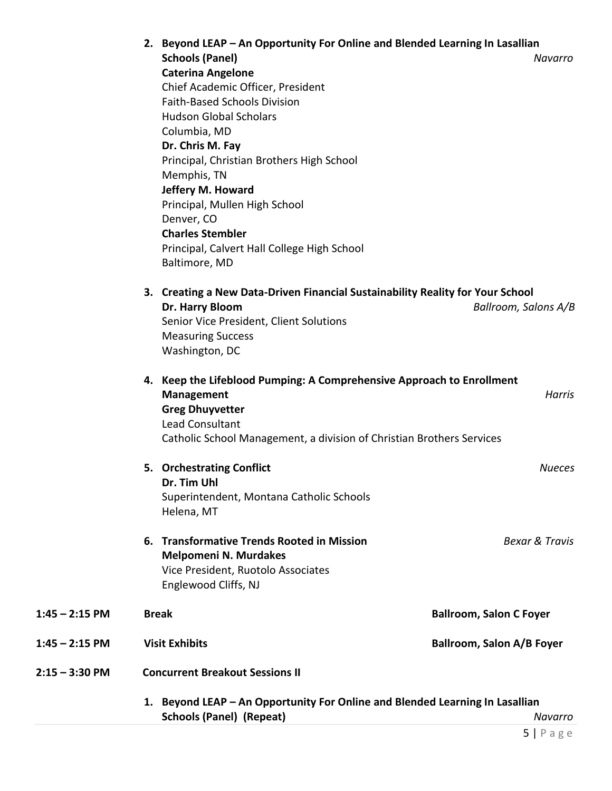|                  | 2. Beyond LEAP - An Opportunity For Online and Blended Learning In Lasallian   |                                |
|------------------|--------------------------------------------------------------------------------|--------------------------------|
|                  | <b>Schools (Panel)</b>                                                         | Navarro                        |
|                  | <b>Caterina Angelone</b>                                                       |                                |
|                  | Chief Academic Officer, President                                              |                                |
|                  | <b>Faith-Based Schools Division</b>                                            |                                |
|                  | <b>Hudson Global Scholars</b>                                                  |                                |
|                  | Columbia, MD                                                                   |                                |
|                  | Dr. Chris M. Fay                                                               |                                |
|                  | Principal, Christian Brothers High School                                      |                                |
|                  | Memphis, TN                                                                    |                                |
|                  | Jeffery M. Howard                                                              |                                |
|                  | Principal, Mullen High School                                                  |                                |
|                  | Denver, CO                                                                     |                                |
|                  | <b>Charles Stembler</b>                                                        |                                |
|                  | Principal, Calvert Hall College High School                                    |                                |
|                  | Baltimore, MD                                                                  |                                |
|                  | 3. Creating a New Data-Driven Financial Sustainability Reality for Your School |                                |
|                  | Dr. Harry Bloom                                                                | Ballroom, Salons A/B           |
|                  | Senior Vice President, Client Solutions                                        |                                |
|                  | <b>Measuring Success</b>                                                       |                                |
|                  | Washington, DC                                                                 |                                |
|                  |                                                                                |                                |
|                  | 4. Keep the Lifeblood Pumping: A Comprehensive Approach to Enrollment          |                                |
|                  | <b>Management</b>                                                              | <b>Harris</b>                  |
|                  | <b>Greg Dhuyvetter</b>                                                         |                                |
|                  | Lead Consultant                                                                |                                |
|                  | Catholic School Management, a division of Christian Brothers Services          |                                |
|                  | 5. Orchestrating Conflict                                                      | <b>Nueces</b>                  |
|                  | Dr. Tim Uhl                                                                    |                                |
|                  | Superintendent, Montana Catholic Schools                                       |                                |
|                  | Helena, MT                                                                     |                                |
|                  | 6. Transformative Trends Rooted in Mission                                     | <b>Bexar &amp; Travis</b>      |
|                  | <b>Melpomeni N. Murdakes</b>                                                   |                                |
|                  | Vice President, Ruotolo Associates                                             |                                |
|                  | Englewood Cliffs, NJ                                                           |                                |
| $1:45 - 2:15$ PM | <b>Break</b>                                                                   | <b>Ballroom, Salon C Foyer</b> |
|                  |                                                                                |                                |
| 1:45 - 2:15 PM   | <b>Visit Exhibits</b>                                                          | Ballroom, Salon A/B Foyer      |
| 2:15 – 3:30 PM   | <b>Concurrent Breakout Sessions II</b>                                         |                                |
|                  | 1. Beyond LEAP - An Opportunity For Online and Blended Learning In Lasallian   |                                |
|                  | <b>Schools (Panel) (Repeat)</b>                                                | Navarro                        |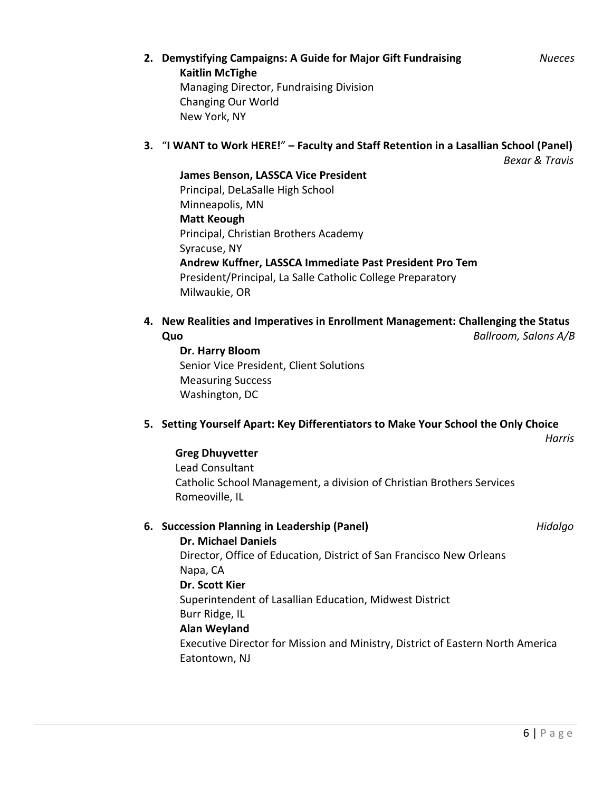# **2. Demystifying Campaigns: A Guide for Major Gift Fundraising** *Nueces*

**Kaitlin McTighe** Managing Director, Fundraising Division Changing Our World New York, NY

# **3.** "**I WANT to Work HERE!**" **– Faculty and Staff Retention in a Lasallian School (Panel)**

*Bexar & Travis*

# **James Benson, LASSCA Vice President** Principal, DeLaSalle High School Minneapolis, MN **Matt Keough** Principal, Christian Brothers Academy Syracuse, NY **Andrew Kuffner, LASSCA Immediate Past President Pro Tem** President/Principal, La Salle Catholic College Preparatory Milwaukie, OR

### **4. New Realities and Imperatives in Enrollment Management: Challenging the Status Quo** *Ballroom, Salons A/B*

**Dr. Harry Bloom** Senior Vice President, Client Solutions Measuring Success Washington, DC

# **5. Setting Yourself Apart: Key Differentiators to Make Your School the Only Choice**

 *Harris*

### **Greg Dhuyvetter**

Lead Consultant Catholic School Management, a division of Christian Brothers Services Romeoville, IL

# **6. Succession Planning in Leadership (Panel)** *Hidalgo*

# **Dr. Michael Daniels**

Director, Office of Education, District of San Francisco New Orleans Napa, CA **Dr. Scott Kier** Superintendent of Lasallian Education, Midwest District

### Burr Ridge, IL

# **Alan Weyland**

Executive Director for Mission and Ministry, District of Eastern North America Eatontown, NJ